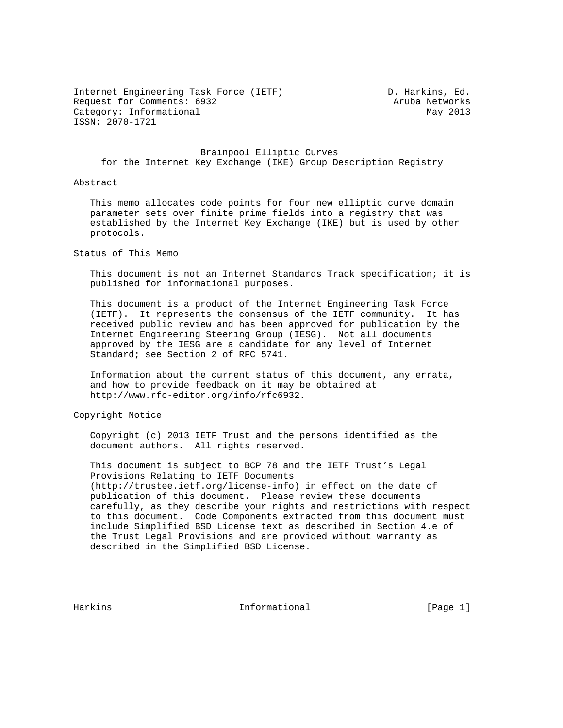Internet Engineering Task Force (IETF) D. Harkins, Ed. Request for Comments: 6932 Aruba Networks Category: Informational May 2013 ISSN: 2070-1721

 Brainpool Elliptic Curves for the Internet Key Exchange (IKE) Group Description Registry

## Abstract

 This memo allocates code points for four new elliptic curve domain parameter sets over finite prime fields into a registry that was established by the Internet Key Exchange (IKE) but is used by other protocols.

Status of This Memo

 This document is not an Internet Standards Track specification; it is published for informational purposes.

 This document is a product of the Internet Engineering Task Force (IETF). It represents the consensus of the IETF community. It has received public review and has been approved for publication by the Internet Engineering Steering Group (IESG). Not all documents approved by the IESG are a candidate for any level of Internet Standard; see Section 2 of RFC 5741.

 Information about the current status of this document, any errata, and how to provide feedback on it may be obtained at http://www.rfc-editor.org/info/rfc6932.

Copyright Notice

 Copyright (c) 2013 IETF Trust and the persons identified as the document authors. All rights reserved.

 This document is subject to BCP 78 and the IETF Trust's Legal Provisions Relating to IETF Documents (http://trustee.ietf.org/license-info) in effect on the date of publication of this document. Please review these documents carefully, as they describe your rights and restrictions with respect to this document. Code Components extracted from this document must include Simplified BSD License text as described in Section 4.e of the Trust Legal Provisions and are provided without warranty as described in the Simplified BSD License.

Harkins **Informational Informational** [Page 1]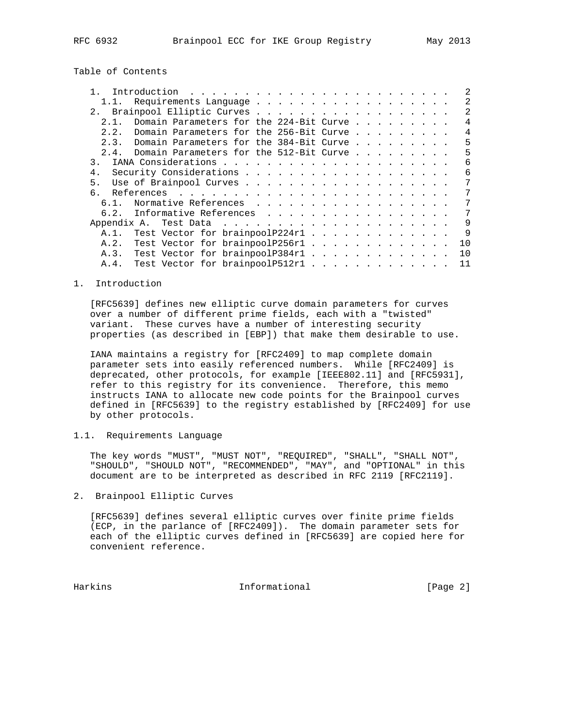Table of Contents

| 1.1.                         | Requirements Language                        |  |  |  |  |  |  |  |  |  | $\mathfrak{D}$ |
|------------------------------|----------------------------------------------|--|--|--|--|--|--|--|--|--|----------------|
| 2. Brainpool Elliptic Curves |                                              |  |  |  |  |  |  |  |  |  | $\mathfrak{D}$ |
| 2.1.                         | Domain Parameters for the 224-Bit Curve      |  |  |  |  |  |  |  |  |  | $\overline{4}$ |
| 2.2.                         | Domain Parameters for the 256-Bit Curve      |  |  |  |  |  |  |  |  |  | $\overline{4}$ |
|                              | 2.3. Domain Parameters for the 384-Bit Curve |  |  |  |  |  |  |  |  |  | 5              |
| 2.4.                         | Domain Parameters for the 512-Bit Curve      |  |  |  |  |  |  |  |  |  | 5              |
| $\mathcal{R}$                |                                              |  |  |  |  |  |  |  |  |  | 6              |
| 4.                           |                                              |  |  |  |  |  |  |  |  |  | 6              |
| 5.                           |                                              |  |  |  |  |  |  |  |  |  | 7              |
|                              |                                              |  |  |  |  |  |  |  |  |  | 7              |
| 6.1.                         | Normative References                         |  |  |  |  |  |  |  |  |  | 7              |
|                              | 6.2. Informative References                  |  |  |  |  |  |  |  |  |  | 7              |
|                              |                                              |  |  |  |  |  |  |  |  |  | 9              |
| A. 1.                        | Test Vector for brainpoolP224r1              |  |  |  |  |  |  |  |  |  | $\mathsf{Q}$   |
| A.2.                         | Test Vector for brainpoolP256r1              |  |  |  |  |  |  |  |  |  | 10             |
|                              | A.3. Test Vector for brainpoolP384r1         |  |  |  |  |  |  |  |  |  | 10             |
| A.4.                         | Test Vector for brainpoolP512r1              |  |  |  |  |  |  |  |  |  | 11             |

1. Introduction

 [RFC5639] defines new elliptic curve domain parameters for curves over a number of different prime fields, each with a "twisted" variant. These curves have a number of interesting security properties (as described in [EBP]) that make them desirable to use.

 IANA maintains a registry for [RFC2409] to map complete domain parameter sets into easily referenced numbers. While [RFC2409] is deprecated, other protocols, for example [IEEE802.11] and [RFC5931], refer to this registry for its convenience. Therefore, this memo instructs IANA to allocate new code points for the Brainpool curves defined in [RFC5639] to the registry established by [RFC2409] for use by other protocols.

1.1. Requirements Language

 The key words "MUST", "MUST NOT", "REQUIRED", "SHALL", "SHALL NOT", "SHOULD", "SHOULD NOT", "RECOMMENDED", "MAY", and "OPTIONAL" in this document are to be interpreted as described in RFC 2119 [RFC2119].

2. Brainpool Elliptic Curves

 [RFC5639] defines several elliptic curves over finite prime fields (ECP, in the parlance of [RFC2409]). The domain parameter sets for each of the elliptic curves defined in [RFC5639] are copied here for convenient reference.

Harkins **Informational Informational** [Page 2]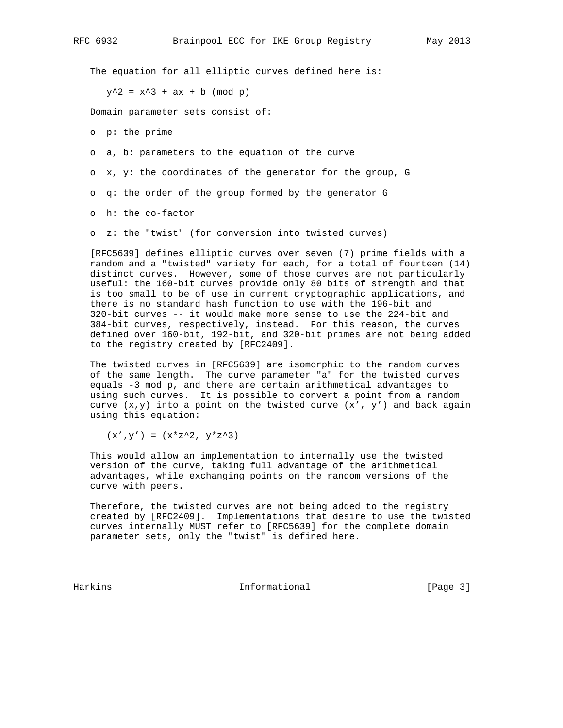The equation for all elliptic curves defined here is:

 $y^2 = x^3 + ax + b \pmod{p}$ 

Domain parameter sets consist of:

o p: the prime

o a, b: parameters to the equation of the curve

o x, y: the coordinates of the generator for the group, G

o q: the order of the group formed by the generator G

o h: the co-factor

o z: the "twist" (for conversion into twisted curves)

 [RFC5639] defines elliptic curves over seven (7) prime fields with a random and a "twisted" variety for each, for a total of fourteen (14) distinct curves. However, some of those curves are not particularly useful: the 160-bit curves provide only 80 bits of strength and that is too small to be of use in current cryptographic applications, and there is no standard hash function to use with the 196-bit and 320-bit curves -- it would make more sense to use the 224-bit and 384-bit curves, respectively, instead. For this reason, the curves defined over 160-bit, 192-bit, and 320-bit primes are not being added to the registry created by [RFC2409].

 The twisted curves in [RFC5639] are isomorphic to the random curves of the same length. The curve parameter "a" for the twisted curves equals -3 mod p, and there are certain arithmetical advantages to using such curves. It is possible to convert a point from a random curve  $(x,y)$  into a point on the twisted curve  $(x', y')$  and back again using this equation:

 $(x', y') = (x * z^2, y * z^3)$ 

 This would allow an implementation to internally use the twisted version of the curve, taking full advantage of the arithmetical advantages, while exchanging points on the random versions of the curve with peers.

 Therefore, the twisted curves are not being added to the registry created by [RFC2409]. Implementations that desire to use the twisted curves internally MUST refer to [RFC5639] for the complete domain parameter sets, only the "twist" is defined here.

Harkins **Informational Informational** [Page 3]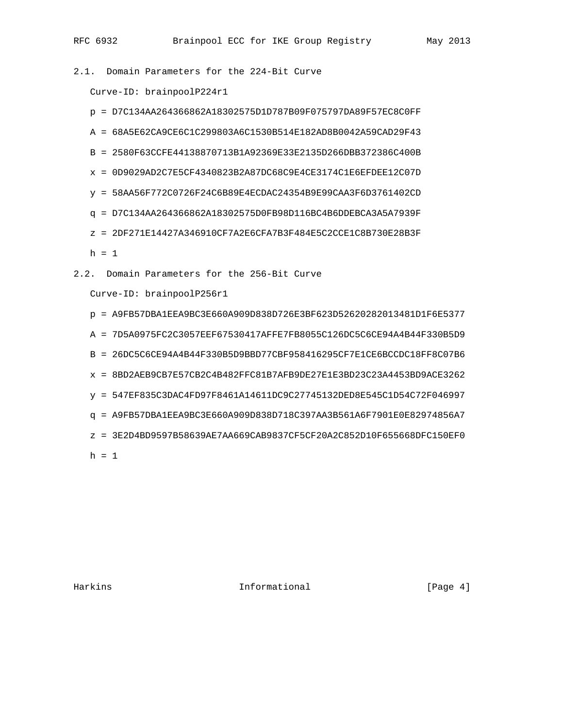2.1. Domain Parameters for the 224-Bit Curve

Curve-ID: brainpoolP224r1

- p = D7C134AA264366862A18302575D1D787B09F075797DA89F57EC8C0FF
- A = 68A5E62CA9CE6C1C299803A6C1530B514E182AD8B0042A59CAD29F43
- B = 2580F63CCFE44138870713B1A92369E33E2135D266DBB372386C400B
- x = 0D9029AD2C7E5CF4340823B2A87DC68C9E4CE3174C1E6EFDEE12C07D
- y = 58AA56F772C0726F24C6B89E4ECDAC24354B9E99CAA3F6D3761402CD
- q = D7C134AA264366862A18302575D0FB98D116BC4B6DDEBCA3A5A7939F
- z = 2DF271E14427A346910CF7A2E6CFA7B3F484E5C2CCE1C8B730E28B3F

 $h = 1$ 

2.2. Domain Parameters for the 256-Bit Curve

Curve-ID: brainpoolP256r1

- p = A9FB57DBA1EEA9BC3E660A909D838D726E3BF623D52620282013481D1F6E5377 A = 7D5A0975FC2C3057EEF67530417AFFE7FB8055C126DC5C6CE94A4B44F330B5D9 B = 26DC5C6CE94A4B44F330B5D9BBD77CBF958416295CF7E1CE6BCCDC18FF8C07B6  $x = 8BD2AEB9CB7E57CB2C4B482FFC81B7AFB9DE27E1E3BD23C23A4453BD9ACE3262$  y = 547EF835C3DAC4FD97F8461A14611DC9C27745132DED8E545C1D54C72F046997 q = A9FB57DBA1EEA9BC3E660A909D838D718C397AA3B561A6F7901E0E82974856A7 z = 3E2D4BD9597B58639AE7AA669CAB9837CF5CF20A2C852D10F655668DFC150EF0
- $h = 1$

Harkins **Informational Informational** [Page 4]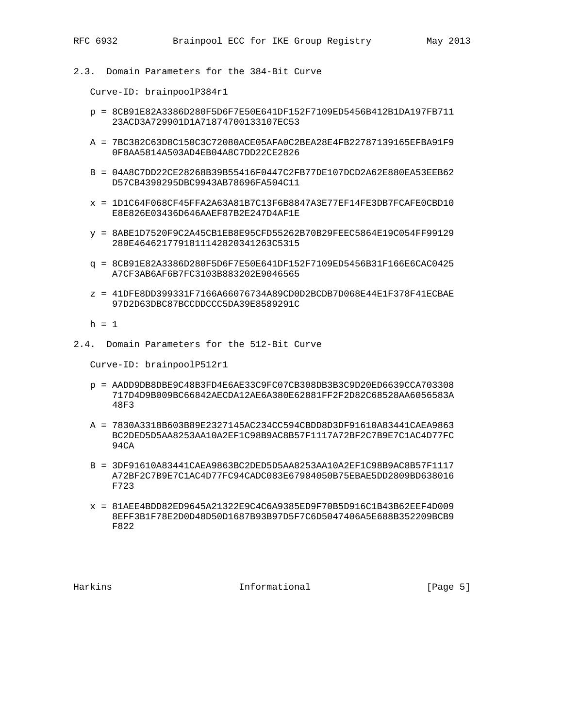2.3. Domain Parameters for the 384-Bit Curve

Curve-ID: brainpoolP384r1

- p = 8CB91E82A3386D280F5D6F7E50E641DF152F7109ED5456B412B1DA197FB711 23ACD3A729901D1A71874700133107EC53
- A = 7BC382C63D8C150C3C72080ACE05AFA0C2BEA28E4FB22787139165EFBA91F9 0F8AA5814A503AD4EB04A8C7DD22CE2826
- B = 04A8C7DD22CE28268B39B55416F0447C2FB77DE107DCD2A62E880EA53EEB62 D57CB4390295DBC9943AB78696FA504C11
- x = 1D1C64F068CF45FFA2A63A81B7C13F6B8847A3E77EF14FE3DB7FCAFE0CBD10 E8E826E03436D646AAEF87B2E247D4AF1E
- y = 8ABE1D7520F9C2A45CB1EB8E95CFD55262B70B29FEEC5864E19C054FF99129 280E4646217791811142820341263C5315
- q = 8CB91E82A3386D280F5D6F7E50E641DF152F7109ED5456B31F166E6CAC0425 A7CF3AB6AF6B7FC3103B883202E9046565
- z = 41DFE8DD399331F7166A66076734A89CD0D2BCDB7D068E44E1F378F41ECBAE 97D2D63DBC87BCCDDCCC5DA39E8589291C

 $h = 1$ 

2.4. Domain Parameters for the 512-Bit Curve

Curve-ID: brainpoolP512r1

- p = AADD9DB8DBE9C48B3FD4E6AE33C9FC07CB308DB3B3C9D20ED6639CCA703308 717D4D9B009BC66842AECDA12AE6A380E62881FF2F2D82C68528AA6056583A 48F3
- A = 7830A3318B603B89E2327145AC234CC594CBDD8D3DF91610A83441CAEA9863 BC2DED5D5AA8253AA10A2EF1C98B9AC8B57F1117A72BF2C7B9E7C1AC4D77FC 94CA
- B = 3DF91610A83441CAEA9863BC2DED5D5AA8253AA10A2EF1C98B9AC8B57F1117 A72BF2C7B9E7C1AC4D77FC94CADC083E67984050B75EBAE5DD2809BD638016 F723
- x = 81AEE4BDD82ED9645A21322E9C4C6A9385ED9F70B5D916C1B43B62EEF4D009 8EFF3B1F78E2D0D48D50D1687B93B97D5F7C6D5047406A5E688B352209BCB9 F822

Harkins **Informational Informational** [Page 5]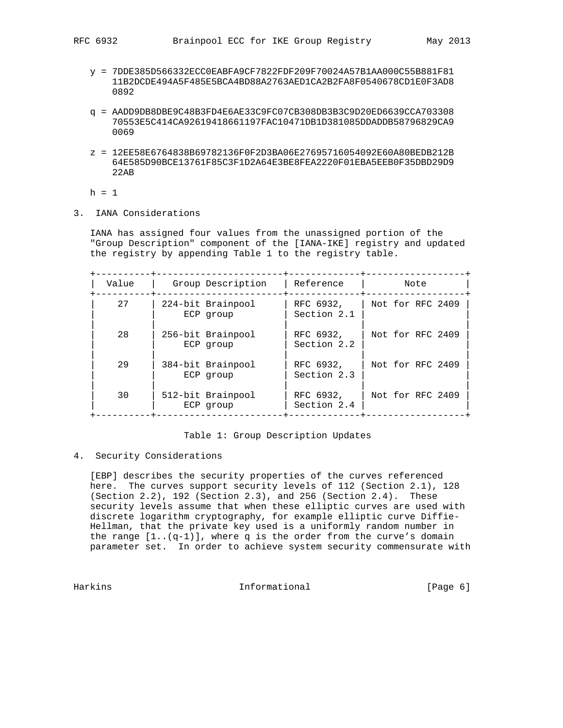- y = 7DDE385D566332ECC0EABFA9CF7822FDF209F70024A57B1AA000C55B881F81 11B2DCDE494A5F485E5BCA4BD88A2763AED1CA2B2FA8F0540678CD1E0F3AD8 0892
- q = AADD9DB8DBE9C48B3FD4E6AE33C9FC07CB308DB3B3C9D20ED6639CCA703308 70553E5C414CA92619418661197FAC10471DB1D381085DDADDB58796829CA9 0069
- z = 12EE58E6764838B69782136F0F2D3BA06E27695716054092E60A80BEDB212B 64E585D90BCE13761F85C3F1D2A64E3BE8FEA2220F01EBA5EEB0F35DBD29D9 22AB

 $h = 1$ 

3. IANA Considerations

 IANA has assigned four values from the unassigned portion of the "Group Description" component of the [IANA-IKE] registry and updated the registry by appending Table 1 to the registry table.

| Value | Group Description              | Reference                | Note             |  |  |  |  |  |
|-------|--------------------------------|--------------------------|------------------|--|--|--|--|--|
| 27    | 224-bit Brainpool<br>ECP group | RFC 6932,<br>Section 2.1 | Not for RFC 2409 |  |  |  |  |  |
| 28    | 256-bit Brainpool<br>ECP group | RFC 6932,<br>Section 2.2 | Not for RFC 2409 |  |  |  |  |  |
| 29    | 384-bit Brainpool<br>ECP group | RFC 6932,<br>Section 2.3 | Not for RFC 2409 |  |  |  |  |  |
| 30    | 512-bit Brainpool<br>ECP group | RFC 6932,<br>Section 2.4 | Not for RFC 2409 |  |  |  |  |  |

## Table 1: Group Description Updates

4. Security Considerations

 [EBP] describes the security properties of the curves referenced here. The curves support security levels of 112 (Section 2.1), 128 (Section 2.2), 192 (Section 2.3), and 256 (Section 2.4). These security levels assume that when these elliptic curves are used with discrete logarithm cryptography, for example elliptic curve Diffie- Hellman, that the private key used is a uniformly random number in the range  $[1..(q-1)]$ , where q is the order from the curve's domain parameter set. In order to achieve system security commensurate with

Harkins **Informational Informational** [Page 6]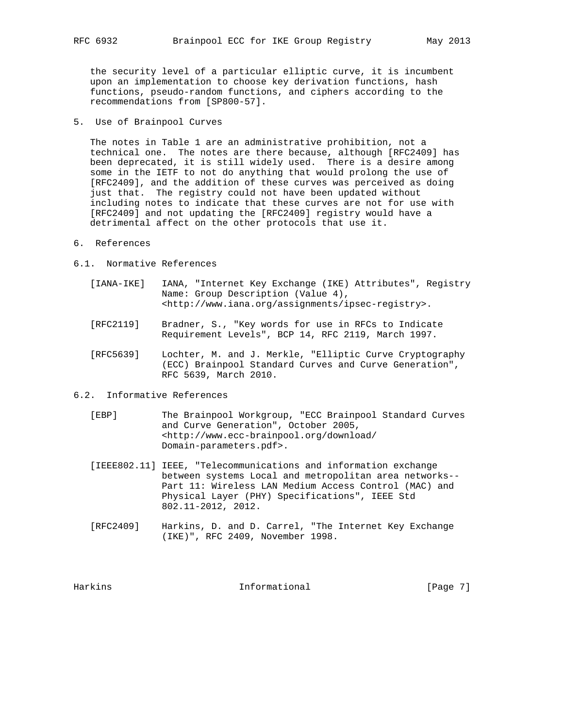the security level of a particular elliptic curve, it is incumbent upon an implementation to choose key derivation functions, hash functions, pseudo-random functions, and ciphers according to the recommendations from [SP800-57].

5. Use of Brainpool Curves

 The notes in Table 1 are an administrative prohibition, not a technical one. The notes are there because, although [RFC2409] has been deprecated, it is still widely used. There is a desire among some in the IETF to not do anything that would prolong the use of [RFC2409], and the addition of these curves was perceived as doing just that. The registry could not have been updated without including notes to indicate that these curves are not for use with [RFC2409] and not updating the [RFC2409] registry would have a detrimental affect on the other protocols that use it.

- 6. References
- 6.1. Normative References
	- [IANA-IKE] IANA, "Internet Key Exchange (IKE) Attributes", Registry Name: Group Description (Value 4), <http://www.iana.org/assignments/ipsec-registry>.
	- [RFC2119] Bradner, S., "Key words for use in RFCs to Indicate Requirement Levels", BCP 14, RFC 2119, March 1997.
	- [RFC5639] Lochter, M. and J. Merkle, "Elliptic Curve Cryptography (ECC) Brainpool Standard Curves and Curve Generation", RFC 5639, March 2010.
- 6.2. Informative References
	- [EBP] The Brainpool Workgroup, "ECC Brainpool Standard Curves and Curve Generation", October 2005, <http://www.ecc-brainpool.org/download/ Domain-parameters.pdf>.
	- [IEEE802.11] IEEE, "Telecommunications and information exchange between systems Local and metropolitan area networks-- Part 11: Wireless LAN Medium Access Control (MAC) and Physical Layer (PHY) Specifications", IEEE Std 802.11-2012, 2012.
	- [RFC2409] Harkins, D. and D. Carrel, "The Internet Key Exchange (IKE)", RFC 2409, November 1998.

Harkins **Informational Informational** [Page 7]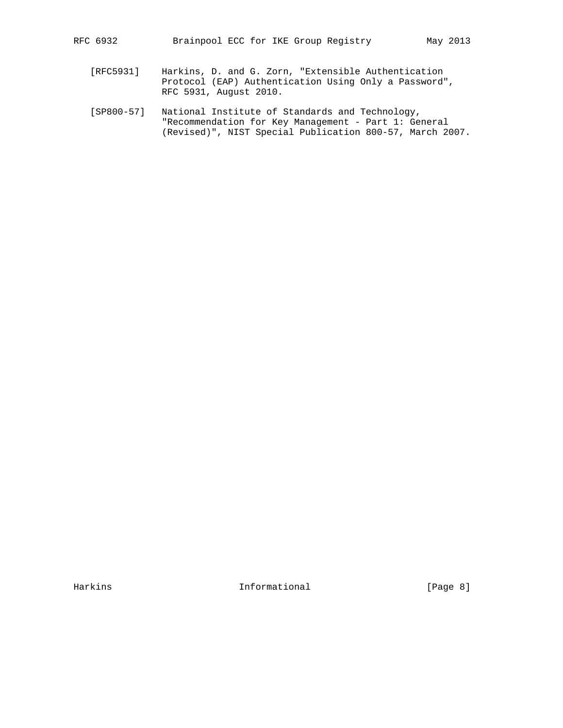- [RFC5931] Harkins, D. and G. Zorn, "Extensible Authentication Protocol (EAP) Authentication Using Only a Password", RFC 5931, August 2010.
- [SP800-57] National Institute of Standards and Technology, "Recommendation for Key Management - Part 1: General (Revised)", NIST Special Publication 800-57, March 2007.

Harkins 1nformational [Page 8]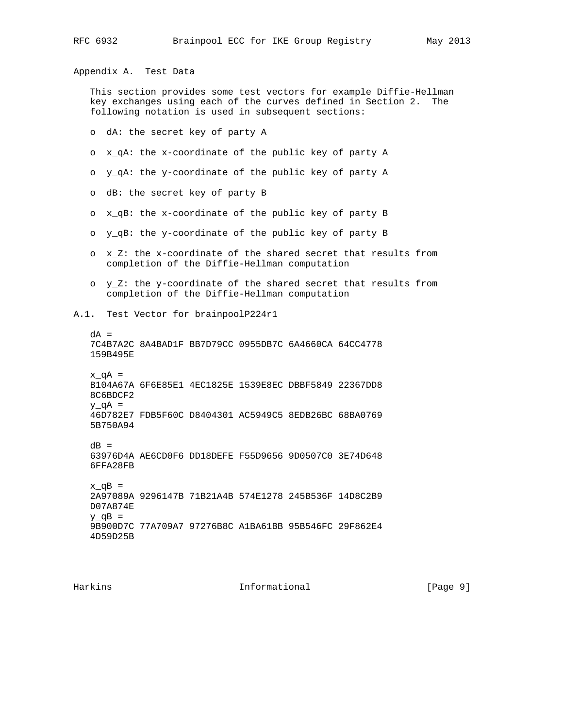Appendix A. Test Data

 This section provides some test vectors for example Diffie-Hellman key exchanges using each of the curves defined in Section 2. The following notation is used in subsequent sections:

o dA: the secret key of party A

- o x\_qA: the x-coordinate of the public key of party A
- o y\_qA: the y-coordinate of the public key of party A
- o dB: the secret key of party B
- o x\_qB: the x-coordinate of the public key of party B
- o y\_qB: the y-coordinate of the public key of party B
- o x\_Z: the x-coordinate of the shared secret that results from completion of the Diffie-Hellman computation
- o y\_Z: the y-coordinate of the shared secret that results from completion of the Diffie-Hellman computation
- A.1. Test Vector for brainpoolP224r1

 $dA =$  7C4B7A2C 8A4BAD1F BB7D79CC 0955DB7C 6A4660CA 64CC4778 159B495E  $x_qA =$  B104A67A 6F6E85E1 4EC1825E 1539E8EC DBBF5849 22367DD8 8C6BDCF2  $y_qA =$  46D782E7 FDB5F60C D8404301 AC5949C5 8EDB26BC 68BA0769 5B750A94  $dB =$  63976D4A AE6CD0F6 DD18DEFE F55D9656 9D0507C0 3E74D648 6FFA28FB  $x_qB =$  2A97089A 9296147B 71B21A4B 574E1278 245B536F 14D8C2B9 D07A874E  $y_qB =$  9B900D7C 77A709A7 97276B8C A1BA61BB 95B546FC 29F862E4 4D59D25B

Harkins **Informational Informational** [Page 9]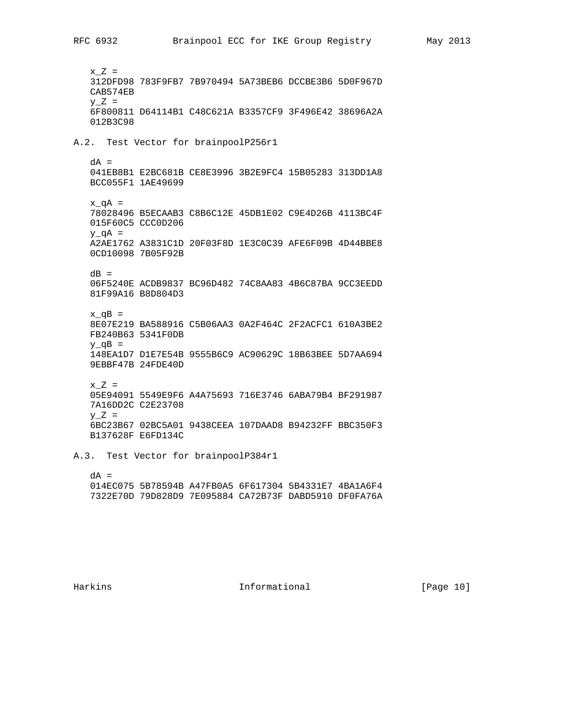$x_Z =$  312DFD98 783F9FB7 7B970494 5A73BEB6 DCCBE3B6 5D0F967D CAB574EB  $Y_Z =$  6F800811 D64114B1 C48C621A B3357CF9 3F496E42 38696A2A 012B3C98 A.2. Test Vector for brainpoolP256r1  $dA =$  041EB8B1 E2BC681B CE8E3996 3B2E9FC4 15B05283 313DD1A8 BCC055F1 1AE49699  $x_qA =$  78028496 B5ECAAB3 C8B6C12E 45DB1E02 C9E4D26B 4113BC4F 015F60C5 CCC0D206  $y_qA =$  A2AE1762 A3831C1D 20F03F8D 1E3C0C39 AFE6F09B 4D44BBE8 0CD10098 7B05F92B  $dB =$  06F5240E ACDB9837 BC96D482 74C8AA83 4B6C87BA 9CC3EEDD 81F99A16 B8D804D3  $x_qB =$  8E07E219 BA588916 C5B06AA3 0A2F464C 2F2ACFC1 610A3BE2 FB240B63 5341F0DB  $y_qB =$  148EA1D7 D1E7E54B 9555B6C9 AC90629C 18B63BEE 5D7AA694 9EBBF47B 24FDE40D  $x_Z =$  05E94091 5549E9F6 A4A75693 716E3746 6ABA79B4 BF291987 7A16DD2C C2E23708  $y_Z =$  6BC23B67 02BC5A01 9438CEEA 107DAAD8 B94232FF BBC350F3 B137628F E6FD134C A.3. Test Vector for brainpoolP384r1

 $dA =$  014EC075 5B78594B A47FB0A5 6F617304 5B4331E7 4BA1A6F4 7322E70D 79D828D9 7E095884 CA72B73F DABD5910 DF0FA76A

Harkins **Informational** [Page 10]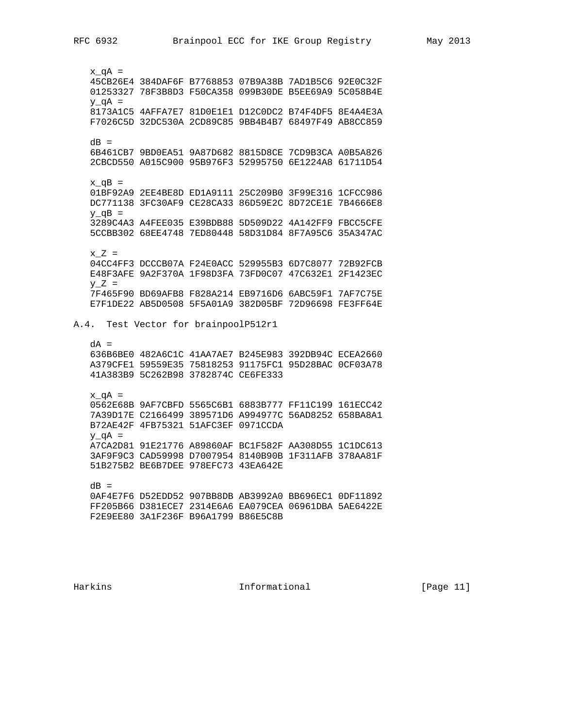$x_qA =$  45CB26E4 384DAF6F B7768853 07B9A38B 7AD1B5C6 92E0C32F 01253327 78F3B8D3 F50CA358 099B30DE B5EE69A9 5C058B4E  $y_qA =$  8173A1C5 4AFFA7E7 81D0E1E1 D12C0DC2 B74F4DF5 8E4A4E3A F7026C5D 32DC530A 2CD89C85 9BB4B4B7 68497F49 AB8CC859  $dB =$  6B461CB7 9BD0EA51 9A87D682 8815D8CE 7CD9B3CA A0B5A826 2CBCD550 A015C900 95B976F3 52995750 6E1224A8 61711D54  $x_qB =$  01BF92A9 2EE4BE8D ED1A9111 25C209B0 3F99E316 1CFCC986 DC771138 3FC30AF9 CE28CA33 86D59E2C 8D72CE1E 7B4666E8  $y_qB =$  3289C4A3 A4FEE035 E39BDB88 5D509D22 4A142FF9 FBCC5CFE 5CCBB302 68EE4748 7ED80448 58D31D84 8F7A95C6 35A347AC  $x_Z =$  04CC4FF3 DCCCB07A F24E0ACC 529955B3 6D7C8077 72B92FCB E48F3AFE 9A2F370A 1F98D3FA 73FD0C07 47C632E1 2F1423EC  $VZ =$  7F465F90 BD69AFB8 F828A214 EB9716D6 6ABC59F1 7AF7C75E E7F1DE22 AB5D0508 5F5A01A9 382D05BF 72D96698 FE3FF64E A.4. Test Vector for brainpoolP512r1  $dA =$  636B6BE0 482A6C1C 41AA7AE7 B245E983 392DB94C ECEA2660 A379CFE1 59559E35 75818253 91175FC1 95D28BAC 0CF03A78 41A383B9 5C262B98 3782874C CE6FE333  $x_qA =$  0562E68B 9AF7CBFD 5565C6B1 6883B777 FF11C199 161ECC42 7A39D17E C2166499 389571D6 A994977C 56AD8252 658BA8A1 B72AE42F 4FB75321 51AFC3EF 0971CCDA  $y$  q $A =$  A7CA2D81 91E21776 A89860AF BC1F582F AA308D55 1C1DC613 3AF9F9C3 CAD59998 D7007954 8140B90B 1F311AFB 378AA81F 51B275B2 BE6B7DEE 978EFC73 43EA642E  $dB =$  0AF4E7F6 D52EDD52 907BB8DB AB3992A0 BB696EC1 0DF11892 FF205B66 D381ECE7 2314E6A6 EA079CEA 06961DBA 5AE6422E F2E9EE80 3A1F236F B96A1799 B86E5C8B

Harkins **Informational Informational** [Page 11]